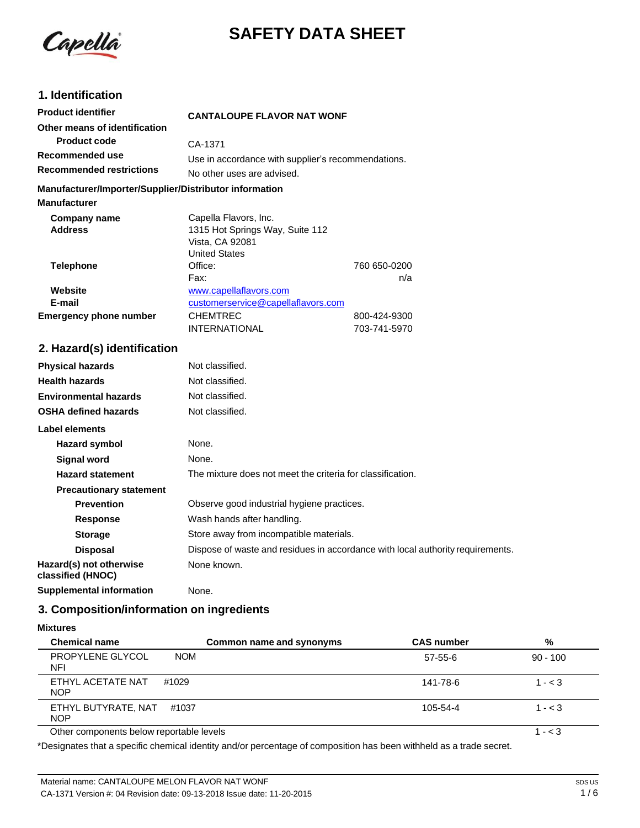

# **SAFETY DATA SHEET**

# **1. Identification**

| <b>Product identifier</b>                              | <b>CANTALOUPE FLAVOR NAT WONF</b>                  |              |
|--------------------------------------------------------|----------------------------------------------------|--------------|
| Other means of identification                          |                                                    |              |
| <b>Product code</b>                                    | CA-1371                                            |              |
| Recommended use                                        | Use in accordance with supplier's recommendations. |              |
| <b>Recommended restrictions</b>                        | No other uses are advised.                         |              |
| Manufacturer/Importer/Supplier/Distributor information |                                                    |              |
| <b>Manufacturer</b>                                    |                                                    |              |
| Company name                                           | Capella Flavors, Inc.                              |              |
| <b>Address</b>                                         | 1315 Hot Springs Way, Suite 112                    |              |
|                                                        | Vista, CA 92081                                    |              |
|                                                        | <b>United States</b>                               |              |
| <b>Telephone</b>                                       | Office:                                            | 760 650-0200 |
|                                                        | Fax:                                               | n/a          |
| Website                                                | www.capellaflavors.com                             |              |
| E-mail                                                 | customerservice@capellaflavors.com                 |              |
| <b>Emergency phone number</b>                          | <b>CHEMTREC</b>                                    | 800-424-9300 |
|                                                        | <b>INTERNATIONAL</b>                               | 703-741-5970 |

# **2. Hazard(s) identification**

| <b>Physical hazards</b>                      | Not classified.                                                                |
|----------------------------------------------|--------------------------------------------------------------------------------|
| <b>Health hazards</b>                        | Not classified.                                                                |
| <b>Environmental hazards</b>                 | Not classified.                                                                |
| <b>OSHA defined hazards</b>                  | Not classified.                                                                |
| Label elements                               |                                                                                |
| Hazard symbol                                | None.                                                                          |
| Signal word                                  | None.                                                                          |
| <b>Hazard statement</b>                      | The mixture does not meet the criteria for classification.                     |
| <b>Precautionary statement</b>               |                                                                                |
| <b>Prevention</b>                            | Observe good industrial hygiene practices.                                     |
| Response                                     | Wash hands after handling.                                                     |
| <b>Storage</b>                               | Store away from incompatible materials.                                        |
| <b>Disposal</b>                              | Dispose of waste and residues in accordance with local authority requirements. |
| Hazard(s) not otherwise<br>classified (HNOC) | None known.                                                                    |
| <b>Supplemental information</b>              | None.                                                                          |

## **3. Composition/information on ingredients**

#### **Mixtures**

| <b>Chemical name</b>                     |            | Common name and synonyms | <b>CAS number</b> | %          |
|------------------------------------------|------------|--------------------------|-------------------|------------|
| PROPYLENE GLYCOL<br>NFI                  | <b>NOM</b> |                          | $57-55-6$         | $90 - 100$ |
| ETHYL ACETATE NAT<br><b>NOP</b>          | #1029      |                          | 141-78-6          | $1 - < 3$  |
| ETHYL BUTYRATE, NAT<br><b>NOP</b>        | #1037      |                          | $105 - 54 - 4$    | $1 - < 3$  |
| Other components below reportable levels |            |                          |                   | $- < 3$    |

Other components below reportable levels

\*Designates that a specific chemical identity and/or percentage of composition has been withheld as a trade secret.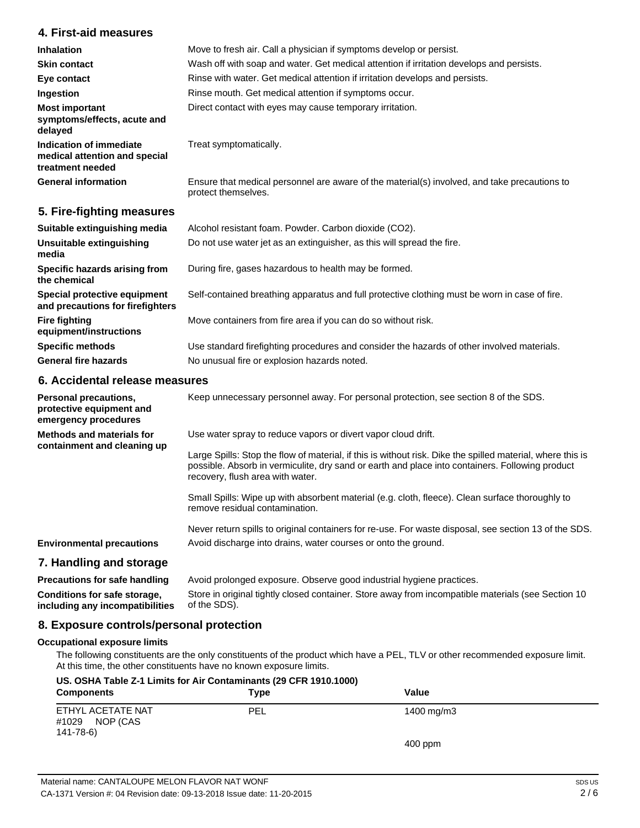### **4. First-aid measures**

| <b>Inhalation</b><br><b>Skin contact</b>                                     | Move to fresh air. Call a physician if symptoms develop or persist.<br>Wash off with soap and water. Get medical attention if irritation develops and persists. |
|------------------------------------------------------------------------------|-----------------------------------------------------------------------------------------------------------------------------------------------------------------|
| Eye contact                                                                  | Rinse with water. Get medical attention if irritation develops and persists.                                                                                    |
| Ingestion                                                                    | Rinse mouth. Get medical attention if symptoms occur.                                                                                                           |
| <b>Most important</b><br>symptoms/effects, acute and<br>delayed              | Direct contact with eyes may cause temporary irritation.                                                                                                        |
| Indication of immediate<br>medical attention and special<br>treatment needed | Treat symptomatically.                                                                                                                                          |
| <b>General information</b>                                                   | Ensure that medical personnel are aware of the material(s) involved, and take precautions to<br>protect themselves.                                             |

## **5. Fire-fighting measures**

| Suitable extinguishing media                                     | Alcohol resistant foam. Powder. Carbon dioxide (CO2).                                         |
|------------------------------------------------------------------|-----------------------------------------------------------------------------------------------|
| <b>Unsuitable extinguishing</b><br>media                         | Do not use water jet as an extinguisher, as this will spread the fire.                        |
| Specific hazards arising from<br>the chemical                    | During fire, gases hazardous to health may be formed.                                         |
| Special protective equipment<br>and precautions for firefighters | Self-contained breathing apparatus and full protective clothing must be worn in case of fire. |
| <b>Fire fighting</b><br>equipment/instructions                   | Move containers from fire area if you can do so without risk.                                 |
| <b>Specific methods</b>                                          | Use standard firefighting procedures and consider the hazards of other involved materials.    |
| <b>General fire hazards</b>                                      | No unusual fire or explosion hazards noted.                                                   |

## **6. Accidental release measures**

| Personal precautions,<br>protective equipment and<br>emergency procedures | Keep unnecessary personnel away. For personal protection, see section 8 of the SDS.                                                                                                                                                               |
|---------------------------------------------------------------------------|---------------------------------------------------------------------------------------------------------------------------------------------------------------------------------------------------------------------------------------------------|
| <b>Methods and materials for</b>                                          | Use water spray to reduce vapors or divert vapor cloud drift.                                                                                                                                                                                     |
| containment and cleaning up                                               | Large Spills: Stop the flow of material, if this is without risk. Dike the spilled material, where this is<br>possible. Absorb in vermiculite, dry sand or earth and place into containers. Following product<br>recovery, flush area with water. |
|                                                                           | Small Spills: Wipe up with absorbent material (e.g. cloth, fleece). Clean surface thoroughly to<br>remove residual contamination.                                                                                                                 |
|                                                                           | Never return spills to original containers for re-use. For waste disposal, see section 13 of the SDS.                                                                                                                                             |
| <b>Environmental precautions</b>                                          | Avoid discharge into drains, water courses or onto the ground.                                                                                                                                                                                    |
| 7. Handling and storage                                                   |                                                                                                                                                                                                                                                   |
| <b>Precautions for safe handling</b>                                      | Avoid prolonged exposure. Observe good industrial hygiene practices.                                                                                                                                                                              |
| Conditions for safe storage,                                              | Store in original tightly closed container. Store away from incompatible materials (see Section 10                                                                                                                                                |

**including any incompatibilities** of the SDS).

#### **8. Exposure controls/personal protection**

#### **Occupational exposure limits**

The following constituents are the only constituents of the product which have a PEL, TLV or other recommended exposure limit. At this time, the other constituents have no known exposure limits.

| US. OSHA Table Z-1 Limits for Air Contaminants (29 CFR 1910.1000)<br><b>Components</b> | Type       | Value      |  |
|----------------------------------------------------------------------------------------|------------|------------|--|
| ETHYL ACETATE NAT<br>NOP (CAS<br>#1029<br>141-78-6)                                    | <b>PEL</b> | 1400 mg/m3 |  |
|                                                                                        |            | $400$ ppm  |  |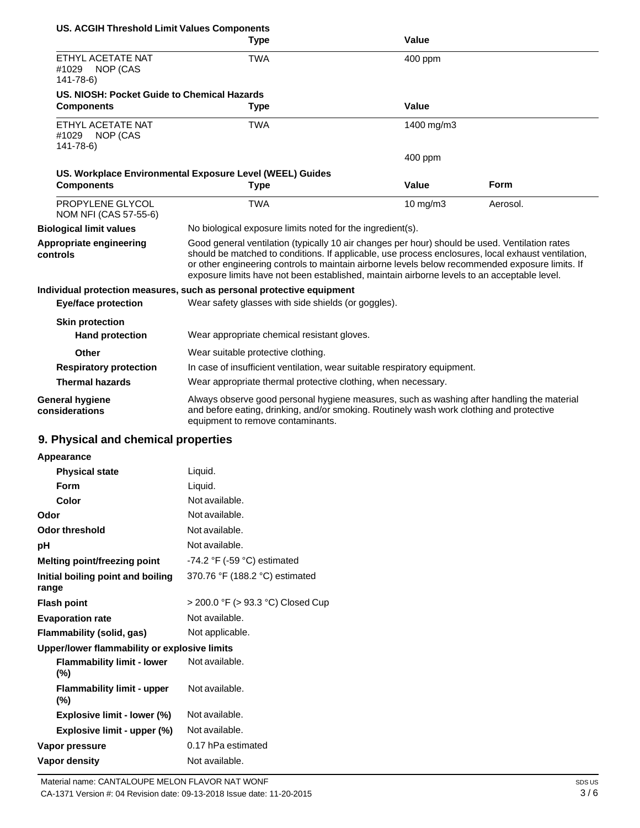| <b>US. ACGIH Threshold Limit Values Components</b>       |                                                                                                                                                                                                                                                                                                                                                                                                        |               |             |
|----------------------------------------------------------|--------------------------------------------------------------------------------------------------------------------------------------------------------------------------------------------------------------------------------------------------------------------------------------------------------------------------------------------------------------------------------------------------------|---------------|-------------|
|                                                          | Type                                                                                                                                                                                                                                                                                                                                                                                                   | Value         |             |
| ETHYL ACETATE NAT<br>NOP (CAS<br>#1029<br>$141 - 78 - 6$ | <b>TWA</b>                                                                                                                                                                                                                                                                                                                                                                                             | 400 ppm       |             |
| US. NIOSH: Pocket Guide to Chemical Hazards              |                                                                                                                                                                                                                                                                                                                                                                                                        |               |             |
| <b>Components</b>                                        | Type                                                                                                                                                                                                                                                                                                                                                                                                   | Value         |             |
| ETHYL ACETATE NAT<br>NOP (CAS<br>#1029<br>141-78-6)      | <b>TWA</b>                                                                                                                                                                                                                                                                                                                                                                                             | 1400 mg/m3    |             |
|                                                          |                                                                                                                                                                                                                                                                                                                                                                                                        | $400$ ppm     |             |
|                                                          | US. Workplace Environmental Exposure Level (WEEL) Guides                                                                                                                                                                                                                                                                                                                                               |               |             |
| <b>Components</b>                                        | <b>Type</b>                                                                                                                                                                                                                                                                                                                                                                                            | Value         | <b>Form</b> |
| PROPYLENE GLYCOL<br>NOM NFI (CAS 57-55-6)                | <b>TWA</b>                                                                                                                                                                                                                                                                                                                                                                                             | $10$ mg/m $3$ | Aerosol.    |
| <b>Biological limit values</b>                           | No biological exposure limits noted for the ingredient(s).                                                                                                                                                                                                                                                                                                                                             |               |             |
| Appropriate engineering<br>controls                      | Good general ventilation (typically 10 air changes per hour) should be used. Ventilation rates<br>should be matched to conditions. If applicable, use process enclosures, local exhaust ventilation,<br>or other engineering controls to maintain airborne levels below recommended exposure limits. If<br>exposure limits have not been established, maintain airborne levels to an acceptable level. |               |             |
|                                                          | Individual protection measures, such as personal protective equipment                                                                                                                                                                                                                                                                                                                                  |               |             |
| <b>Eye/face protection</b>                               | Wear safety glasses with side shields (or goggles).                                                                                                                                                                                                                                                                                                                                                    |               |             |
| <b>Skin protection</b>                                   |                                                                                                                                                                                                                                                                                                                                                                                                        |               |             |
| <b>Hand protection</b>                                   | Wear appropriate chemical resistant gloves.                                                                                                                                                                                                                                                                                                                                                            |               |             |
| Other                                                    | Wear suitable protective clothing.                                                                                                                                                                                                                                                                                                                                                                     |               |             |
| <b>Respiratory protection</b>                            | In case of insufficient ventilation, wear suitable respiratory equipment.                                                                                                                                                                                                                                                                                                                              |               |             |
| <b>Thermal hazards</b>                                   | Wear appropriate thermal protective clothing, when necessary.                                                                                                                                                                                                                                                                                                                                          |               |             |
| <b>General hygiene</b><br>considerations                 | Always observe good personal hygiene measures, such as washing after handling the material<br>and before eating, drinking, and/or smoking. Routinely wash work clothing and protective<br>equipment to remove contaminants.                                                                                                                                                                            |               |             |
| 9. Physical and chemical properties                      |                                                                                                                                                                                                                                                                                                                                                                                                        |               |             |
| Appearance                                               |                                                                                                                                                                                                                                                                                                                                                                                                        |               |             |

| Liquid.                                       |
|-----------------------------------------------|
| Liquid.                                       |
| Not available.                                |
| Not available.                                |
| Not available.                                |
| Not available.                                |
| -74.2 $\degree$ F (-59 $\degree$ C) estimated |
| 370.76 °F (188.2 °C) estimated                |
| > 200.0 °F (> 93.3 °C) Closed Cup             |
| Not available.                                |
| Not applicable.                               |
| Upper/lower flammability or explosive limits  |
| Not available.                                |
| Not available.                                |
| Not available.                                |
| Not available.                                |
| 0.17 hPa estimated                            |
| Not available.                                |
|                                               |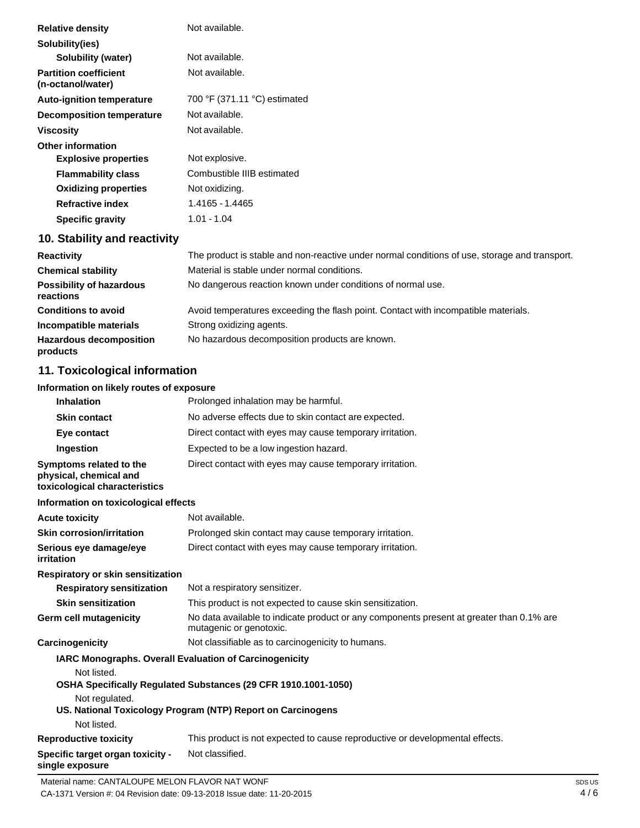| Not available.               |
|------------------------------|
|                              |
| Not available.               |
| Not available.               |
| 700 °F (371.11 °C) estimated |
| Not available.               |
| Not available.               |
|                              |
| Not explosive.               |
| Combustible IIIB estimated   |
| Not oxidizing.               |
| 1.4165 - 1.4465              |
| $1.01 - 1.04$                |
|                              |

# **10. Stability and reactivity**

| <b>Reactivity</b>                            | The product is stable and non-reactive under normal conditions of use, storage and transport. |
|----------------------------------------------|-----------------------------------------------------------------------------------------------|
| <b>Chemical stability</b>                    | Material is stable under normal conditions.                                                   |
| <b>Possibility of hazardous</b><br>reactions | No dangerous reaction known under conditions of normal use.                                   |
| <b>Conditions to avoid</b>                   | Avoid temperatures exceeding the flash point. Contact with incompatible materials.            |
| Incompatible materials                       | Strong oxidizing agents.                                                                      |
| <b>Hazardous decomposition</b><br>products   | No hazardous decomposition products are known.                                                |

# **11. Toxicological information**

#### **Information on likely routes of exposure**

| <b>Inhalation</b>                                                                  | Prolonged inhalation may be harmful.                                                                                |
|------------------------------------------------------------------------------------|---------------------------------------------------------------------------------------------------------------------|
| <b>Skin contact</b>                                                                | No adverse effects due to skin contact are expected.                                                                |
| Eye contact                                                                        | Direct contact with eyes may cause temporary irritation.                                                            |
| Ingestion                                                                          | Expected to be a low ingestion hazard.                                                                              |
| Symptoms related to the<br>physical, chemical and<br>toxicological characteristics | Direct contact with eyes may cause temporary irritation.                                                            |
| Information on toxicological effects                                               |                                                                                                                     |
| <b>Acute toxicity</b>                                                              | Not available.                                                                                                      |
| <b>Skin corrosion/irritation</b>                                                   | Prolonged skin contact may cause temporary irritation.                                                              |
| Serious eye damage/eye<br>irritation                                               | Direct contact with eyes may cause temporary irritation.                                                            |
| Respiratory or skin sensitization                                                  |                                                                                                                     |
| <b>Respiratory sensitization</b>                                                   | Not a respiratory sensitizer.                                                                                       |
| <b>Skin sensitization</b>                                                          | This product is not expected to cause skin sensitization.                                                           |
| Germ cell mutagenicity                                                             | No data available to indicate product or any components present at greater than 0.1% are<br>mutagenic or genotoxic. |
| Carcinogenicity                                                                    | Not classifiable as to carcinogenicity to humans.                                                                   |
| <b>IARC Monographs. Overall Evaluation of Carcinogenicity</b><br>Not listed.       |                                                                                                                     |
|                                                                                    | OSHA Specifically Regulated Substances (29 CFR 1910.1001-1050)                                                      |
| Not regulated.                                                                     | US. National Toxicology Program (NTP) Report on Carcinogens                                                         |
| Not listed.                                                                        |                                                                                                                     |
| <b>Reproductive toxicity</b>                                                       | This product is not expected to cause reproductive or developmental effects.                                        |
| Specific target organ toxicity -<br>single exposure                                | Not classified.                                                                                                     |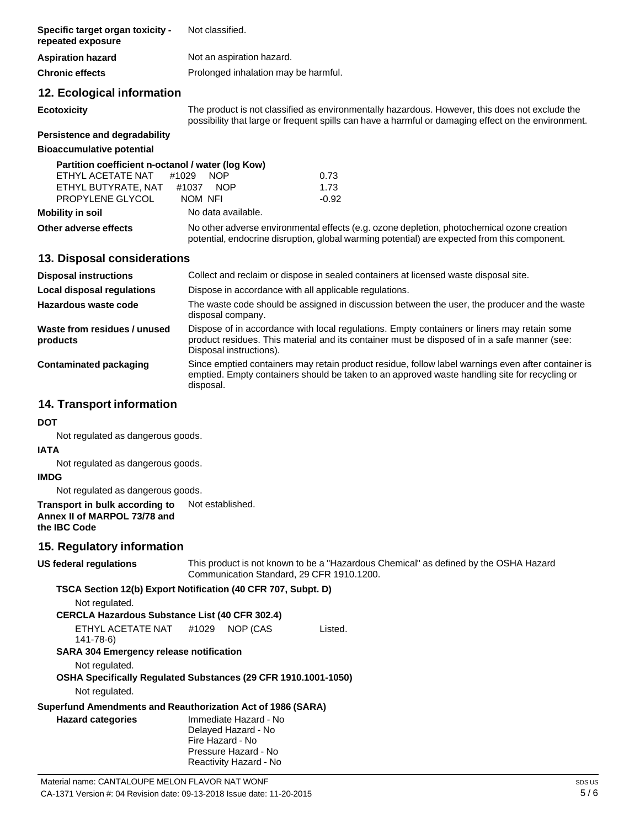| Specific target organ toxicity -<br>repeated exposure                                                             | Not classified.                                                                                                                                                                                                        |
|-------------------------------------------------------------------------------------------------------------------|------------------------------------------------------------------------------------------------------------------------------------------------------------------------------------------------------------------------|
| <b>Aspiration hazard</b>                                                                                          | Not an aspiration hazard.                                                                                                                                                                                              |
| <b>Chronic effects</b>                                                                                            | Prolonged inhalation may be harmful.                                                                                                                                                                                   |
| 12. Ecological information                                                                                        |                                                                                                                                                                                                                        |
| <b>Ecotoxicity</b>                                                                                                | The product is not classified as environmentally hazardous. However, this does not exclude the<br>possibility that large or frequent spills can have a harmful or damaging effect on the environment.                  |
| Persistence and degradability                                                                                     |                                                                                                                                                                                                                        |
| <b>Bioaccumulative potential</b>                                                                                  |                                                                                                                                                                                                                        |
| Partition coefficient n-octanol / water (log Kow)<br>ETHYL ACETATE NAT<br>ETHYL BUTYRATE, NAT<br>PROPYLENE GLYCOL | #1029<br><b>NOP</b><br>0.73<br>1.73<br>#1037 NOP<br>NOM NFI<br>$-0.92$                                                                                                                                                 |
| <b>Mobility in soil</b>                                                                                           | No data available.                                                                                                                                                                                                     |
| Other adverse effects                                                                                             | No other adverse environmental effects (e.g. ozone depletion, photochemical ozone creation<br>potential, endocrine disruption, global warming potential) are expected from this component.                             |
| 13. Disposal considerations                                                                                       |                                                                                                                                                                                                                        |
| <b>Disposal instructions</b>                                                                                      | Collect and reclaim or dispose in sealed containers at licensed waste disposal site.                                                                                                                                   |
| <b>Local disposal regulations</b>                                                                                 | Dispose in accordance with all applicable regulations.                                                                                                                                                                 |
| Hazardous waste code                                                                                              | The waste code should be assigned in discussion between the user, the producer and the waste<br>disposal company.                                                                                                      |
| Waste from residues / unused<br>products                                                                          | Dispose of in accordance with local regulations. Empty containers or liners may retain some<br>product residues. This material and its container must be disposed of in a safe manner (see:<br>Disposal instructions). |
| <b>Contaminated packaging</b>                                                                                     | Since emptied containers may retain product residue, follow label warnings even after container is<br>emptied. Empty containers should be taken to an approved waste handling site for recycling or<br>disposal.       |
| 14. Transport information                                                                                         |                                                                                                                                                                                                                        |
| DOT                                                                                                               |                                                                                                                                                                                                                        |
| Not regulated as dangerous goods.                                                                                 |                                                                                                                                                                                                                        |
| IATA                                                                                                              |                                                                                                                                                                                                                        |
| Not regulated as dangerous goods.<br><b>IMDG</b>                                                                  |                                                                                                                                                                                                                        |
| Not regulated as dangerous goods.                                                                                 |                                                                                                                                                                                                                        |
| Transport in bulk according to<br>Annex II of MARPOL 73/78 and<br>the IBC Code                                    | Not established.                                                                                                                                                                                                       |
| 15. Regulatory information                                                                                        |                                                                                                                                                                                                                        |
| US federal regulations                                                                                            | This product is not known to be a "Hazardous Chemical" as defined by the OSHA Hazard<br>Communication Standard, 29 CFR 1910.1200.                                                                                      |
|                                                                                                                   | TSCA Section 12(b) Export Notification (40 CFR 707, Subpt. D)                                                                                                                                                          |
| Not regulated.                                                                                                    |                                                                                                                                                                                                                        |
| <b>CERCLA Hazardous Substance List (40 CFR 302.4)</b><br>ETHYL ACETATE NAT                                        | #1029<br>NOP (CAS<br>Listed.                                                                                                                                                                                           |
| 141-78-6)<br>SARA 304 Emergency release notification                                                              |                                                                                                                                                                                                                        |
| Not regulated.                                                                                                    | OSHA Specifically Regulated Substances (29 CFR 1910.1001-1050)                                                                                                                                                         |
| Not regulated.                                                                                                    |                                                                                                                                                                                                                        |
|                                                                                                                   | Superfund Amendments and Reauthorization Act of 1986 (SARA)                                                                                                                                                            |
| <b>Hazard categories</b>                                                                                          | Immediate Hazard - No                                                                                                                                                                                                  |
|                                                                                                                   | Delayed Hazard - No<br>Fire Hazard - No                                                                                                                                                                                |
|                                                                                                                   | Pressure Hazard - No                                                                                                                                                                                                   |
|                                                                                                                   | Reactivity Hazard - No                                                                                                                                                                                                 |
| Material name: CANTALOUPE MELON FLAVOR NAT WONF                                                                   | SDS <sub>I</sub>                                                                                                                                                                                                       |